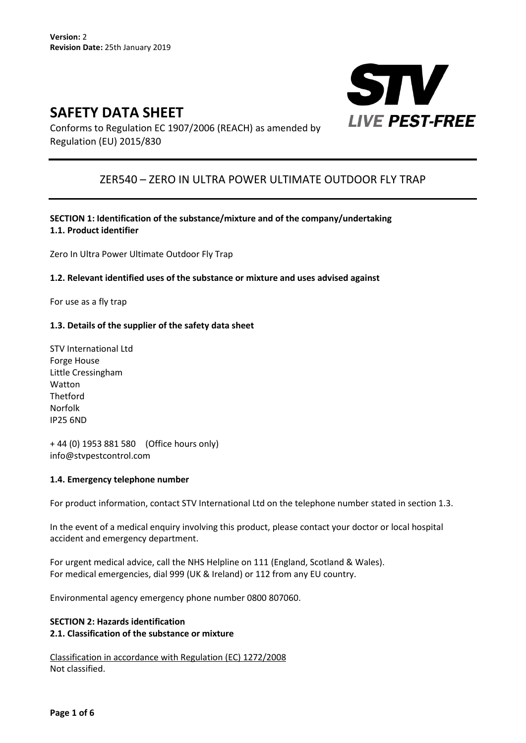# **SAFETY DATA SHEET**



Conforms to Regulation EC 1907/2006 (REACH) as amended by Regulation (EU) 2015/830

## ZER540 – ZERO IN ULTRA POWER ULTIMATE OUTDOOR FLY TRAP

## **SECTION 1: Identification of the substance/mixture and of the company/undertaking 1.1. Product identifier**

Zero In Ultra Power Ultimate Outdoor Fly Trap

#### **1.2. Relevant identified uses of the substance or mixture and uses advised against**

For use as a fly trap

## **1.3. Details of the supplier of the safety data sheet**

STV International Ltd Forge House Little Cressingham Watton Thetford Norfolk IP25 6ND

+ 44 (0) 1953 881 580 (Office hours only) info@stvpestcontrol.com

#### **1.4. Emergency telephone number**

For product information, contact STV International Ltd on the telephone number stated in section 1.3.

In the event of a medical enquiry involving this product, please contact your doctor or local hospital accident and emergency department.

For urgent medical advice, call the NHS Helpline on 111 (England, Scotland & Wales). For medical emergencies, dial 999 (UK & Ireland) or 112 from any EU country.

Environmental agency emergency phone number 0800 807060.

## **SECTION 2: Hazards identification 2.1. Classification of the substance or mixture**

Classification in accordance with Regulation (EC) 1272/2008 Not classified.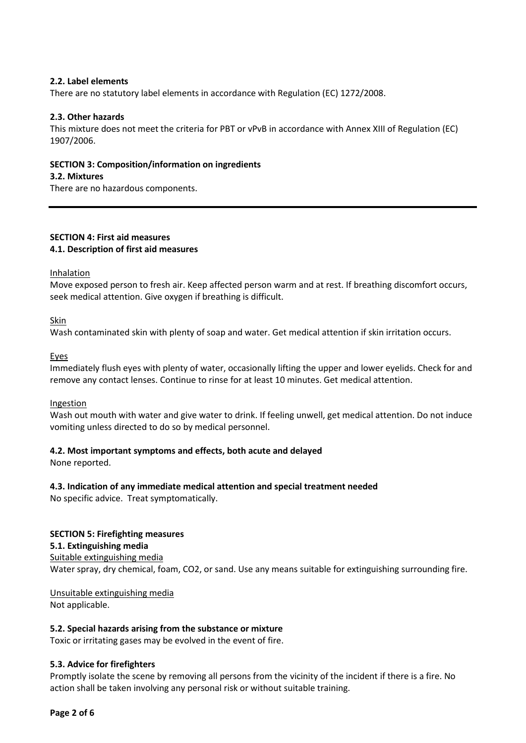## **2.2. Label elements**

There are no statutory label elements in accordance with Regulation (EC) 1272/2008.

#### **2.3. Other hazards**

This mixture does not meet the criteria for PBT or vPvB in accordance with Annex XIII of Regulation (EC) 1907/2006.

#### **SECTION 3: Composition/information on ingredients**

#### **3.2. Mixtures**

There are no hazardous components.

## **SECTION 4: First aid measures 4.1. Description of first aid measures**

**Inhalation** 

Move exposed person to fresh air. Keep affected person warm and at rest. If breathing discomfort occurs, seek medical attention. Give oxygen if breathing is difficult.

Skin

Wash contaminated skin with plenty of soap and water. Get medical attention if skin irritation occurs.

Eyes

Immediately flush eyes with plenty of water, occasionally lifting the upper and lower eyelids. Check for and remove any contact lenses. Continue to rinse for at least 10 minutes. Get medical attention.

#### Ingestion

Wash out mouth with water and give water to drink. If feeling unwell, get medical attention. Do not induce vomiting unless directed to do so by medical personnel.

#### **4.2. Most important symptoms and effects, both acute and delayed**

None reported.

#### **4.3. Indication of any immediate medical attention and special treatment needed**

No specific advice. Treat symptomatically.

## **SECTION 5: Firefighting measures 5.1. Extinguishing media**

Suitable extinguishing media Water spray, dry chemical, foam, CO2, or sand. Use any means suitable for extinguishing surrounding fire.

Unsuitable extinguishing media Not applicable.

#### **5.2. Special hazards arising from the substance or mixture**

Toxic or irritating gases may be evolved in the event of fire.

#### **5.3. Advice for firefighters**

Promptly isolate the scene by removing all persons from the vicinity of the incident if there is a fire. No action shall be taken involving any personal risk or without suitable training.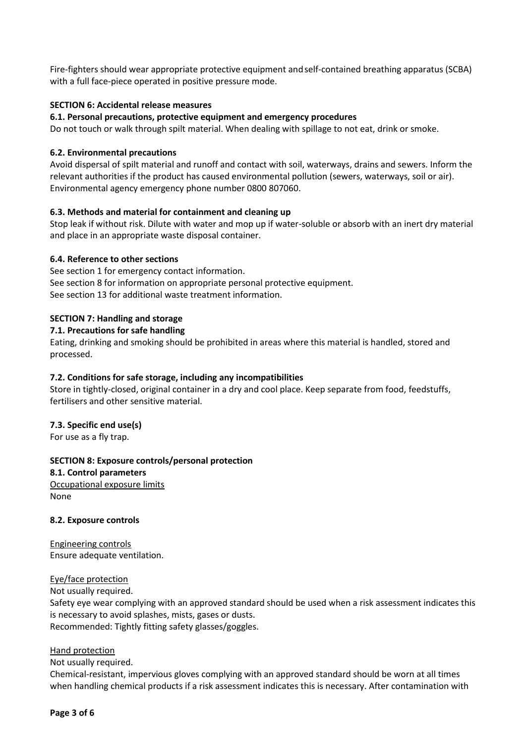Fire-fighters should wear appropriate protective equipment andself-contained breathing apparatus (SCBA) with a full face-piece operated in positive pressure mode.

#### **SECTION 6: Accidental release measures**

#### **6.1. Personal precautions, protective equipment and emergency procedures**

Do not touch or walk through spilt material. When dealing with spillage to not eat, drink or smoke.

#### **6.2. Environmental precautions**

Avoid dispersal of spilt material and runoff and contact with soil, waterways, drains and sewers. Inform the relevant authorities if the product has caused environmental pollution (sewers, waterways, soil or air). Environmental agency emergency phone number 0800 807060.

#### **6.3. Methods and material for containment and cleaning up**

Stop leak if without risk. Dilute with water and mop up if water-soluble or absorb with an inert dry material and place in an appropriate waste disposal container.

#### **6.4. Reference to other sections**

See section 1 for emergency contact information. See section 8 for information on appropriate personal protective equipment. See section 13 for additional waste treatment information.

#### **SECTION 7: Handling and storage**

#### **7.1. Precautions for safe handling**

Eating, drinking and smoking should be prohibited in areas where this material is handled, stored and processed.

#### **7.2. Conditions for safe storage, including any incompatibilities**

Store in tightly-closed, original container in a dry and cool place. Keep separate from food, feedstuffs, fertilisers and other sensitive material.

#### **7.3. Specific end use(s)**

For use as a fly trap.

#### **SECTION 8: Exposure controls/personal protection**

#### **8.1. Control parameters**

Occupational exposure limits None

#### **8.2. Exposure controls**

Engineering controls Ensure adequate ventilation.

#### Eye/face protection

Not usually required.

Safety eye wear complying with an approved standard should be used when a risk assessment indicates this is necessary to avoid splashes, mists, gases or dusts. Recommended: Tightly fitting safety glasses/goggles.

#### Hand protection

Not usually required.

Chemical-resistant, impervious gloves complying with an approved standard should be worn at all times when handling chemical products if a risk assessment indicates this is necessary. After contamination with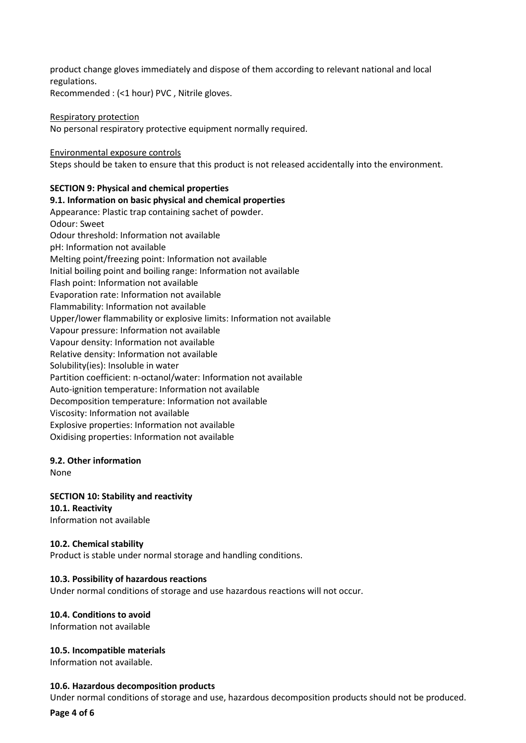product change gloves immediately and dispose of them according to relevant national and local regulations.

Recommended : (<1 hour) PVC , Nitrile gloves.

#### Respiratory protection

No personal respiratory protective equipment normally required.

#### Environmental exposure controls

Steps should be taken to ensure that this product is not released accidentally into the environment.

## **SECTION 9: Physical and chemical properties**

#### **9.1. Information on basic physical and chemical properties**

Appearance: Plastic trap containing sachet of powder. Odour: Sweet Odour threshold: Information not available pH: Information not available Melting point/freezing point: Information not available Initial boiling point and boiling range: Information not available Flash point: Information not available Evaporation rate: Information not available Flammability: Information not available Upper/lower flammability or explosive limits: Information not available Vapour pressure: Information not available Vapour density: Information not available Relative density: Information not available Solubility(ies): Insoluble in water Partition coefficient: n-octanol/water: Information not available Auto-ignition temperature: Information not available Decomposition temperature: Information not available Viscosity: Information not available Explosive properties: Information not available Oxidising properties: Information not available

#### **9.2. Other information**

None

**SECTION 10: Stability and reactivity 10.1. Reactivity**  Information not available

#### **10.2. Chemical stability**

Product is stable under normal storage and handling conditions.

#### **10.3. Possibility of hazardous reactions**

Under normal conditions of storage and use hazardous reactions will not occur.

## **10.4. Conditions to avoid**

Information not available

#### **10.5. Incompatible materials**

Information not available.

#### **10.6. Hazardous decomposition products**

Under normal conditions of storage and use, hazardous decomposition products should not be produced.

**Page 4 of 6**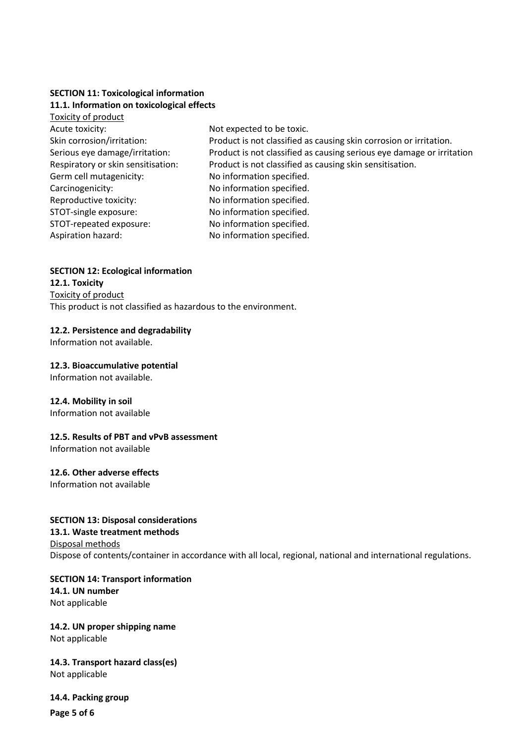## **SECTION 11: Toxicological information 11.1. Information on toxicological effects**

| Toxicity of product                |                                                                       |
|------------------------------------|-----------------------------------------------------------------------|
| Acute toxicity:                    | Not expected to be toxic.                                             |
| Skin corrosion/irritation:         | Product is not classified as causing skin corrosion or irritation.    |
| Serious eye damage/irritation:     | Product is not classified as causing serious eye damage or irritation |
| Respiratory or skin sensitisation: | Product is not classified as causing skin sensitisation.              |
| Germ cell mutagenicity:            | No information specified.                                             |
| Carcinogenicity:                   | No information specified.                                             |
| Reproductive toxicity:             | No information specified.                                             |
| STOT-single exposure:              | No information specified.                                             |
| STOT-repeated exposure:            | No information specified.                                             |
| Aspiration hazard:                 | No information specified.                                             |
|                                    |                                                                       |

## **SECTION 12: Ecological information**

**12.1. Toxicity**  Toxicity of product This product is not classified as hazardous to the environment.

## **12.2. Persistence and degradability**

Information not available.

## **12.3. Bioaccumulative potential**

Information not available.

## **12.4. Mobility in soil**

Information not available

## **12.5. Results of PBT and vPvB assessment**

Information not available

## **12.6. Other adverse effects**

Information not available

#### **SECTION 13: Disposal considerations**

#### **13.1. Waste treatment methods**

Disposal methods Dispose of contents/container in accordance with all local, regional, national and international regulations.

**SECTION 14: Transport information 14.1. UN number**  Not applicable

# **14.2. UN proper shipping name**

Not applicable

## **14.3. Transport hazard class(es)**  Not applicable

**Page 5 of 6 14.4. Packing group**